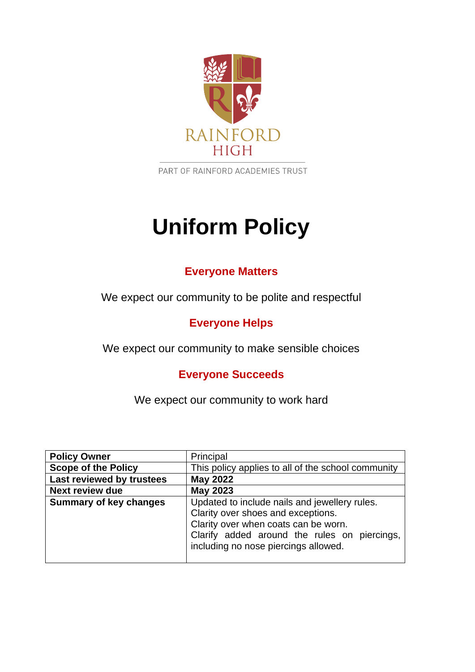

PART OF RAINFORD ACADEMIES TRUST

# **Uniform Policy**

## **Everyone Matters**

We expect our community to be polite and respectful

# **Everyone Helps**

We expect our community to make sensible choices

# **Everyone Succeeds**

We expect our community to work hard

| <b>Policy Owner</b>           | Principal                                                                                                                                                                                                           |
|-------------------------------|---------------------------------------------------------------------------------------------------------------------------------------------------------------------------------------------------------------------|
| <b>Scope of the Policy</b>    | This policy applies to all of the school community                                                                                                                                                                  |
| Last reviewed by trustees     | <b>May 2022</b>                                                                                                                                                                                                     |
| <b>Next review due</b>        | <b>May 2023</b>                                                                                                                                                                                                     |
| <b>Summary of key changes</b> | Updated to include nails and jewellery rules.<br>Clarity over shoes and exceptions.<br>Clarity over when coats can be worn.<br>Clarify added around the rules on piercings,<br>including no nose piercings allowed. |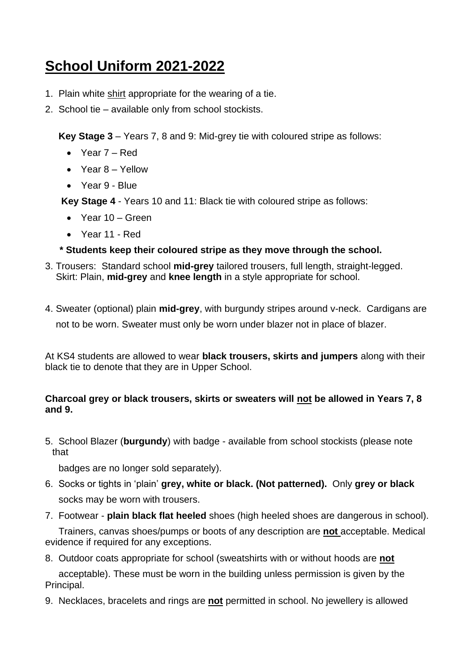# **School Uniform 2021-2022**

- 1.Plain white shirt appropriate for the wearing of a tie.
- 2. School tie available only from school stockists.

**Key Stage 3** – Years 7, 8 and 9: Mid-grey tie with coloured stripe as follows:

- Year 7 Red
- Year 8 Yellow
- Year 9 Blue

**Key Stage 4** - Years 10 and 11: Black tie with coloured stripe as follows:

- Year 10 Green
- Year 11 Red

#### **\* Students keep their coloured stripe as they move through the school.**

- 3. Trousers: Standard school **mid-grey** tailored trousers, full length, straight-legged. Skirt: Plain, **mid-grey** and **knee length** in a style appropriate for school.
- 4. Sweater (optional) plain **mid-grey**, with burgundy stripes around v-neck. Cardigans are not to be worn. Sweater must only be worn under blazer not in place of blazer.

At KS4 students are allowed to wear **black trousers, skirts and jumpers** along with their black tie to denote that they are in Upper School.

#### **Charcoal grey or black trousers, skirts or sweaters will not be allowed in Years 7, 8 and 9.**

5. School Blazer (**burgundy**) with badge - available from school stockists (please note that

badges are no longer sold separately).

- 6. Socks or tights in 'plain' **grey, white or black. (Not patterned).** Only **grey or black** socks may be worn with trousers.
- 7. Footwear **plain black flat heeled** shoes (high heeled shoes are dangerous in school).

 Trainers, canvas shoes/pumps or boots of any description are **not** acceptable. Medical evidence if required for any exceptions.

8. Outdoor coats appropriate for school (sweatshirts with or without hoods are **not**

 acceptable). These must be worn in the building unless permission is given by the Principal.

9. Necklaces, bracelets and rings are **not** permitted in school. No jewellery is allowed